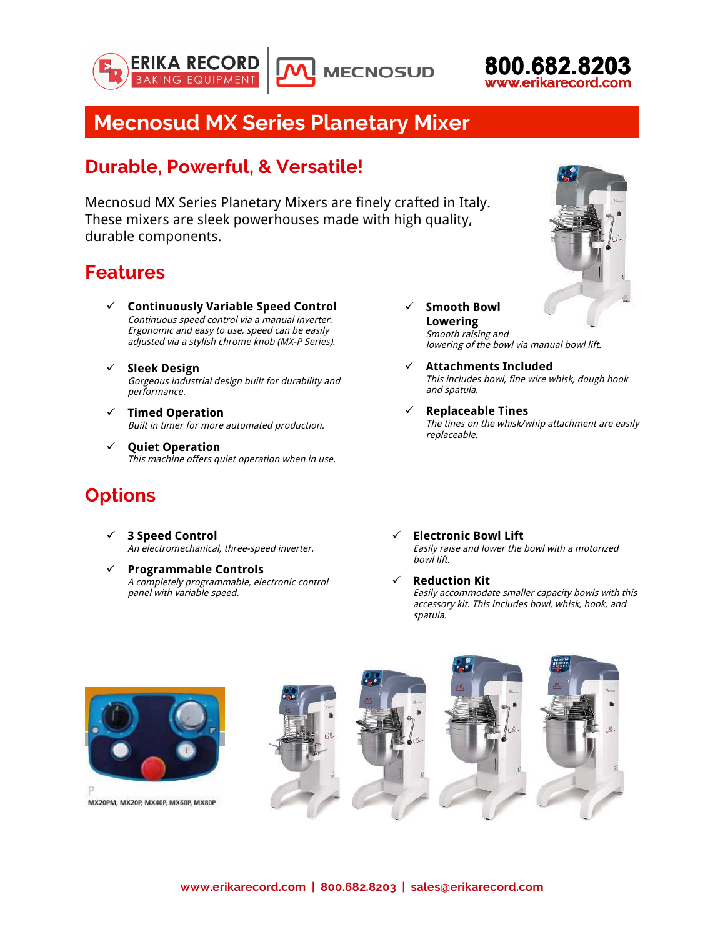





# **Mecnosud MX Series Planetary Mixer**

#### **Durable, Powerful, & Versatile!**

Mecnosud MX Series Planetary Mixers are finely crafted in Italy. These mixers are sleek powerhouses made with high quality, durable components.

## **Features**

- ü **Continuously Variable Speed Control** Continuous speed control via a manual inverter. Ergonomic and easy to use, speed can be easily adjusted via a stylish chrome knob (MX-P Series).
- ü **Sleek Design** Gorgeous industrial design built for durability and performance.
- ü **Timed Operation** Built in timer for more automated production.
- ü **Quiet Operation** This machine offers quiet operation when in use.

#### **Options**

- ü **3 Speed Control** An electromechanical, three-speed inverter.
- ü **Programmable Controls** A completely programmable, electronic control panel with variable speed.
- ü **Smooth Bowl Lowering** Smooth raising and lowering of the bowl via manual bowl lift.
- ü **Attachments Included** This includes bowl, fine wire whisk, dough hook and spatula.
- ü **Replaceable Tines** The tines on the whisk/whip attachment are easily replaceable.
- ü **Electronic Bowl Lift** Easily raise and lower the bowl with a motorized bowl lift.
	- ü **Reduction Kit** Easily accommodate smaller capacity bowls with this accessory kit. This includes bowl, whisk, hook, and spatula.



MX20PM, MX20P, MX40P, MX60P, MX80P